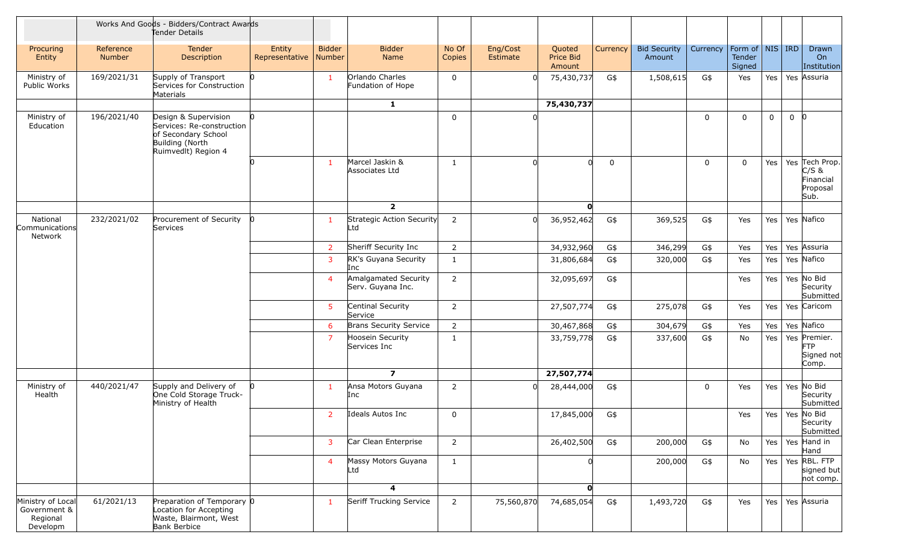|                                                           | Works And Goods - Bidders/Contract Awards<br>Tender Details |                                                                                                                    |                          |                         |                                           |                 |                      |                               |             |                               |             |                                         |             |                |                                                            |
|-----------------------------------------------------------|-------------------------------------------------------------|--------------------------------------------------------------------------------------------------------------------|--------------------------|-------------------------|-------------------------------------------|-----------------|----------------------|-------------------------------|-------------|-------------------------------|-------------|-----------------------------------------|-------------|----------------|------------------------------------------------------------|
| Procuring<br>Entity                                       | Reference<br><b>Number</b>                                  | Tender<br>Description                                                                                              | Entity<br>Representative | <b>Bidder</b><br>Number | <b>Bidder</b><br>Name                     | No Of<br>Copies | Eng/Cost<br>Estimate | Quoted<br>Price Bid<br>Amount | Currency    | <b>Bid Security</b><br>Amount | Currency    | Form of   NIS   IRD<br>Tender<br>Signed |             |                | Drawn<br>On<br>Institution                                 |
| Ministry of<br>Public Works                               | 169/2021/31                                                 | Supply of Transport<br>Services for Construction<br>Materials                                                      |                          | $\mathbf{1}$            | Orlando Charles<br>Fundation of Hope      | $\mathbf 0$     |                      | 75,430,737                    | G\$         | 1,508,615                     | G\$         | Yes                                     | Yes         |                | Yes Assuria                                                |
|                                                           |                                                             |                                                                                                                    |                          |                         | $\mathbf{1}$                              |                 |                      | 75,430,737                    |             |                               |             |                                         |             |                |                                                            |
| Ministry of<br>Education                                  | 196/2021/40                                                 | Design & Supervision<br>Services: Re-construction<br>of Secondary School<br>Building (North<br>RuimvedIt) Region 4 |                          |                         |                                           | $\mathbf{0}$    |                      |                               |             |                               | $\mathbf 0$ | $\mathbf 0$                             | $\mathbf 0$ | $\overline{0}$ |                                                            |
|                                                           |                                                             |                                                                                                                    |                          | $\mathbf{1}$            | Marcel Jaskin &<br>Associates Ltd         | 1               |                      | $\Omega$                      | $\mathbf 0$ |                               | $\mathbf 0$ | $\mathbf 0$                             | Yes         |                | Yes Tech Prop.<br>$C/S$ &<br>Financial<br>Proposal<br>Sub. |
|                                                           |                                                             |                                                                                                                    |                          |                         | $\overline{2}$                            |                 |                      | <sup>0</sup>                  |             |                               |             |                                         |             |                |                                                            |
| National<br>Communications<br>Network                     | 232/2021/02                                                 | Procurement of Security<br>Services                                                                                |                          | $\overline{1}$          | Strategic Action Security<br>Ltd          | 2               |                      | 36,952,462                    | G\$         | 369,525                       | G\$         | Yes                                     | Yes         |                | Yes Nafico                                                 |
|                                                           |                                                             |                                                                                                                    |                          | 2                       | Sheriff Security Inc                      | $\overline{2}$  |                      | 34,932,960                    | G\$         | 346,299                       | G\$         | Yes                                     | Yes         |                | Yes Assuria                                                |
|                                                           |                                                             |                                                                                                                    |                          | 3                       | RK's Guyana Security<br>Inc               | $\mathbf{1}$    |                      | 31,806,684                    | G\$         | 320,000                       | G\$         | Yes                                     | Yes         |                | Yes Nafico                                                 |
|                                                           |                                                             |                                                                                                                    |                          | $\overline{4}$          | Amalgamated Security<br>Serv. Guyana Inc. | $\overline{2}$  |                      | 32,095,697                    | G\$         |                               |             | Yes                                     | Yes         |                | Yes No Bid<br>Security<br>Submitted                        |
|                                                           |                                                             |                                                                                                                    |                          | 5                       | Centinal Security<br>Service              | $\overline{2}$  |                      | 27,507,774                    | G\$         | 275,078                       | G\$         | Yes                                     | Yes         |                | Yes Caricom                                                |
|                                                           |                                                             |                                                                                                                    |                          | 6                       | <b>Brans Security Service</b>             | $\overline{2}$  |                      | 30,467,868                    | G\$         | 304,679                       | G\$         | Yes                                     | Yes         |                | Yes Nafico                                                 |
|                                                           |                                                             |                                                                                                                    |                          | 7                       | Hoosein Security<br>Services Inc          | 1               |                      | 33,759,778                    | G\$         | 337,600                       | G\$         | No                                      | Yes         |                | Yes Premier.<br><b>FTP</b><br>Signed not<br>Comp.          |
|                                                           |                                                             |                                                                                                                    |                          |                         | $\overline{\phantom{a}}$                  |                 |                      | 27,507,774                    |             |                               |             |                                         |             |                |                                                            |
| Ministry of<br>Health                                     | 440/2021/47                                                 | Supply and Delivery of<br>One Cold Storage Truck-<br>Ministry of Health                                            | 10                       | 1                       | Ansa Motors Guyana<br>Inc                 | 2               |                      | 28,444,000                    | G\$         |                               | $\mathbf 0$ | Yes                                     | Yes         |                | Yes No Bid<br>Security<br>Submitted                        |
|                                                           |                                                             |                                                                                                                    |                          | 2                       | Ideals Autos Inc                          | $\Omega$        |                      | 17,845,000                    | G\$         |                               |             | Yes                                     |             |                | Yes   Yes   No Bid<br>Security<br>Submitted                |
|                                                           |                                                             |                                                                                                                    |                          | 3                       | Car Clean Enterprise                      | $\overline{2}$  |                      | 26,402,500                    | G\$         | 200,000                       | G\$         | No                                      | Yes         |                | Yes Hand in<br>Hand                                        |
|                                                           |                                                             |                                                                                                                    |                          | $\overline{4}$          | Massy Motors Guyana<br>Ltd                | 1               |                      |                               |             | 200,000                       | G\$         | No                                      | Yes $ $     |                | Yes RBL. FTP<br>signed but<br>not comp.                    |
|                                                           |                                                             |                                                                                                                    |                          |                         | 4                                         |                 |                      | $\mathbf{o}$                  |             |                               |             |                                         |             |                |                                                            |
| Ministry of Local<br>Government &<br>Regional<br>Developm | 61/2021/13                                                  | Preparation of Temporary 0<br>Location for Accepting<br>Waste, Blairmont, West<br>Bank Berbice                     |                          | $\mathbf{1}$            | Seriff Trucking Service                   | $\overline{2}$  | 75,560,870           | 74,685,054                    | G\$         | 1,493,720                     | G\$         | Yes                                     | Yes         |                | Yes Assuria                                                |